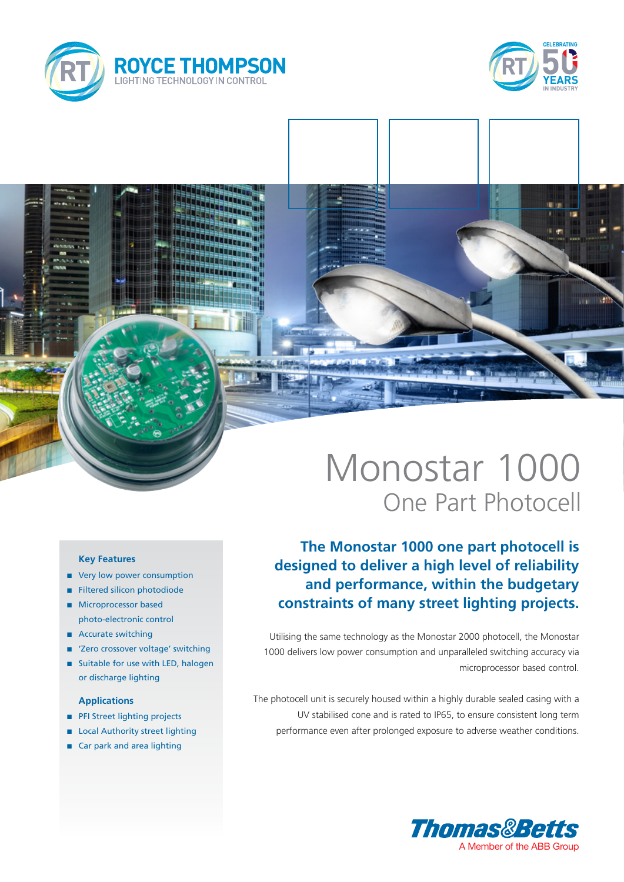



# Monostar 1000 One Part Photocell

# **The Monostar 1000 one part photocell is designed to deliver a high level of reliability and performance, within the budgetary constraints of many street lighting projects.**

Utilising the same technology as the Monostar 2000 photocell, the Monostar 1000 delivers low power consumption and unparalleled switching accuracy via microprocessor based control.

The photocell unit is securely housed within a highly durable sealed casing with a UV stabilised cone and is rated to IP65, to ensure consistent long term performance even after prolonged exposure to adverse weather conditions.



### **Key Features**

- very low power consumption
- **n** Filtered silicon photodiode
- **n** Microprocessor based photo-electronic control
- Accurate switching
- 'Zero crossover voltage' switching
- Suitable for use with LED, halogen or discharge lighting

### **Applications**

- **n** PFI Street lighting projects
- **n** Local Authority street lighting
- Car park and area lighting